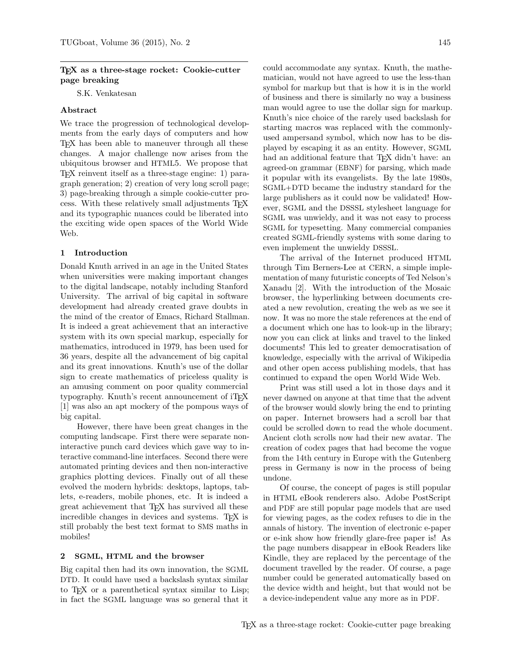## TEX as a three-stage rocket: Cookie-cutter page breaking

S.K. Venkatesan

# Abstract

We trace the progression of technological developments from the early days of computers and how TEX has been able to maneuver through all these changes. A major challenge now arises from the ubiquitous browser and HTML5. We propose that TEX reinvent itself as a three-stage engine: 1) paragraph generation; 2) creation of very long scroll page; 3) page-breaking through a simple cookie-cutter process. With these relatively small adjustments TEX and its typographic nuances could be liberated into the exciting wide open spaces of the World Wide Web.

## 1 Introduction

Donald Knuth arrived in an age in the United States when universities were making important changes to the digital landscape, notably including Stanford University. The arrival of big capital in software development had already created grave doubts in the mind of the creator of Emacs, Richard Stallman. It is indeed a great achievement that an interactive system with its own special markup, especially for mathematics, introduced in 1979, has been used for 36 years, despite all the advancement of big capital and its great innovations. Knuth's use of the dollar sign to create mathematics of priceless quality is an amusing comment on poor quality commercial typography. Knuth's recent announcement of iT<sub>E</sub>X [\[1\]](#page-3-0) was also an apt mockery of the pompous ways of big capital.

However, there have been great changes in the computing landscape. First there were separate noninteractive punch card devices which gave way to interactive command-line interfaces. Second there were automated printing devices and then non-interactive graphics plotting devices. Finally out of all these evolved the modern hybrids: desktops, laptops, tablets, e-readers, mobile phones, etc. It is indeed a great achievement that TEX has survived all these incredible changes in devices and systems. T<sub>EX</sub> is still probably the best text format to SMS maths in mobiles!

## 2 SGML, HTML and the browser

Big capital then had its own innovation, the SGML DTD. It could have used a backslash syntax similar to TEX or a parenthetical syntax similar to Lisp; in fact the SGML language was so general that it

could accommodate any syntax. Knuth, the mathematician, would not have agreed to use the less-than symbol for markup but that is how it is in the world of business and there is similarly no way a business man would agree to use the dollar sign for markup. Knuth's nice choice of the rarely used backslash for starting macros was replaced with the commonlyused ampersand symbol, which now has to be displayed by escaping it as an entity. However, SGML had an additional feature that T<sub>E</sub>X didn't have: an agreed-on grammar (EBNF) for parsing, which made it popular with its evangelists. By the late 1980s, SGML+DTD became the industry standard for the large publishers as it could now be validated! However, SGML and the DSSSL stylesheet language for SGML was unwieldy, and it was not easy to process SGML for typesetting. Many commercial companies created SGML-friendly systems with some daring to even implement the unwieldy DSSSL.

The arrival of the Internet produced HTML through Tim Berners-Lee at CERN, a simple implementation of many futuristic concepts of Ted Nelson's Xanadu [\[2\]](#page-3-1). With the introduction of the Mosaic browser, the hyperlinking between documents created a new revolution, creating the web as we see it now. It was no more the stale references at the end of a document which one has to look-up in the library; now you can click at links and travel to the linked documents! This led to greater democratisation of knowledge, especially with the arrival of Wikipedia and other open access publishing models, that has continued to expand the open World Wide Web.

Print was still used a lot in those days and it never dawned on anyone at that time that the advent of the browser would slowly bring the end to printing on paper. Internet browsers had a scroll bar that could be scrolled down to read the whole document. Ancient cloth scrolls now had their new avatar. The creation of codex pages that had become the vogue from the 14th century in Europe with the Gutenberg press in Germany is now in the process of being undone.

Of course, the concept of pages is still popular in HTML eBook renderers also. Adobe PostScript and PDF are still popular page models that are used for viewing pages, as the codex refuses to die in the annals of history. The invention of electronic e-paper or e-ink show how friendly glare-free paper is! As the page numbers disappear in eBook Readers like Kindle, they are replaced by the percentage of the document travelled by the reader. Of course, a page number could be generated automatically based on the device width and height, but that would not be a device-independent value any more as in PDF.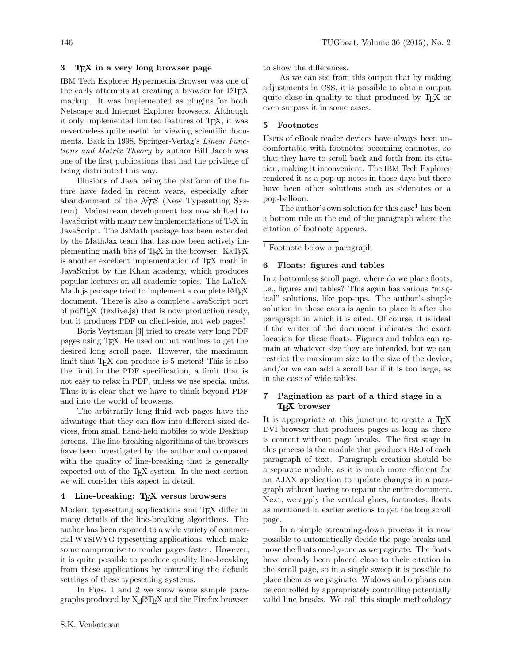# 3 TEX in a very long browser page

IBM Tech Explorer Hypermedia Browser was one of the early attempts at creating a browser for LAT<sub>EX</sub> markup. It was implemented as plugins for both Netscape and Internet Explorer browsers. Although it only implemented limited features of TEX, it was nevertheless quite useful for viewing scientific documents. Back in 1998, Springer-Verlag's Linear Functions and Matrix Theory by author Bill Jacob was one of the first publications that had the privilege of being distributed this way.

Illusions of Java being the platform of the future have faded in recent years, especially after abandonment of the  $\mathcal{N}$  (New Typesetting System). Mainstream development has now shifted to JavaScript with many new implementations of TFX in JavaScript. The JsMath package has been extended by the MathJax team that has now been actively implementing math bits of T<sub>E</sub>X in the browser. KaT<sub>E</sub>X is another excellent implementation of T<sub>E</sub>X math in JavaScript by the Khan academy, which produces popular lectures on all academic topics. The LaTeX-Math. is package tried to implement a complete LAT<sub>EX</sub> document. There is also a complete JavaScript port of pdfTEX (texlive.js) that is now production ready, but it produces PDF on client-side, not web pages!

Boris Veytsman [\[3\]](#page-3-2) tried to create very long PDF pages using TEX. He used output routines to get the desired long scroll page. However, the maximum limit that T<sub>E</sub>X can produce is 5 meters! This is also the limit in the PDF specification, a limit that is not easy to relax in PDF, unless we use special units. Thus it is clear that we have to think beyond PDF and into the world of browsers.

The arbitrarily long fluid web pages have the advantage that they can flow into different sized devices, from small hand-held mobiles to wide Desktop screens. The line-breaking algorithms of the browsers have been investigated by the author and compared with the quality of line-breaking that is generally expected out of the TEX system. In the next section we will consider this aspect in detail.

# 4 Line-breaking: TEX versus browsers

Modern typesetting applications and T<sub>E</sub>X differ in many details of the line-breaking algorithms. The author has been exposed to a wide variety of commercial WYSIWYG typesetting applications, which make some compromise to render pages faster. However, it is quite possible to produce quality line-breaking from these applications by controlling the default settings of these typesetting systems.

In Figs. [1](#page-2-0) and [2](#page-2-1) we show some sample paragraphs produced by  $X\text{H}^2E$ X and the Firefox browser

to show the differences.

As we can see from this output that by making adjustments in CSS, it is possible to obtain output quite close in quality to that produced by TEX or even surpass it in some cases.

#### 5 Footnotes

Users of eBook reader devices have always been uncomfortable with footnotes becoming endnotes, so that they have to scroll back and forth from its citation, making it inconvenient. The IBM Tech Explorer rendered it as a pop-up notes in those days but there have been other solutions such as sidenotes or a pop-balloon.

The author's own solution for this case<sup>1</sup> has been a bottom rule at the end of the paragraph where the citation of footnote appears.

<sup>1</sup> Footnote below a paragraph

#### 6 Floats: figures and tables

In a bottomless scroll page, where do we place floats, i.e., figures and tables? This again has various "magical" solutions, like pop-ups. The author's simple solution in these cases is again to place it after the paragraph in which it is cited. Of course, it is ideal if the writer of the document indicates the exact location for these floats. Figures and tables can remain at whatever size they are intended, but we can restrict the maximum size to the size of the device, and/or we can add a scroll bar if it is too large, as in the case of wide tables.

# 7 Pagination as part of a third stage in a TEX browser

It is appropriate at this juncture to create a T<sub>E</sub>X DVI browser that produces pages as long as there is content without page breaks. The first stage in this process is the module that produces H&J of each paragraph of text. Paragraph creation should be a separate module, as it is much more efficient for an AJAX application to update changes in a paragraph without having to repaint the entire document. Next, we apply the vertical glues, footnotes, floats as mentioned in earlier sections to get the long scroll page.

In a simple streaming-down process it is now possible to automatically decide the page breaks and move the floats one-by-one as we paginate. The floats have already been placed close to their citation in the scroll page, so in a single sweep it is possible to place them as we paginate. Widows and orphans can be controlled by appropriately controlling potentially valid line breaks. We call this simple methodology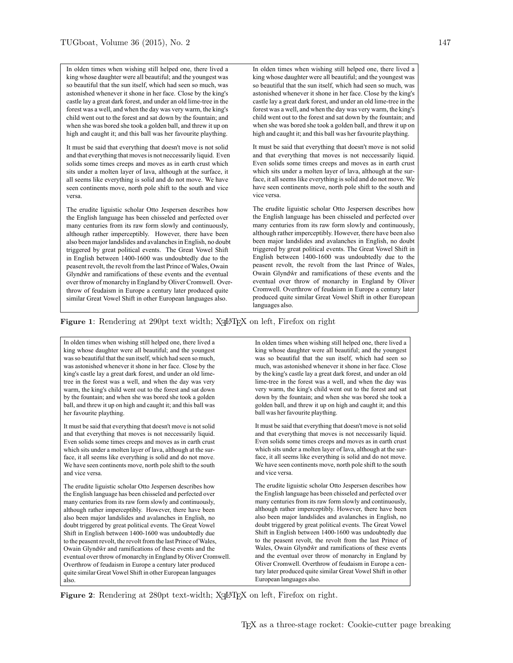<span id="page-2-0"></span>In olden times when wishing still helped one, there lived a king whose daughter were all beautiful; and the youngest was so beautiful that the sun itself, which had seen so much, was astonished whenever it shone in her face. Close by the king's castle lay a great dark forest, and under an old lime-tree in the forest was a well, and when the day was very warm, the king's child went out to the forest and sat down by the fountain; and when she was bored she took a golden ball, and threw it up on high and caught it; and this ball was her favourite plaything.

It must be said that everything that doesn't move is not solid and that everything that moves is not neccessarily liquid. Even solids some times creeps and moves as in earth crust which sits under a molten layer of lava, although at the surface, it all seems like everything is solid and do not move. We have seen continents move, north pole shift to the south and vice versa.

The erudite liguistic scholar Otto Jespersen describes how the English language has been chisseled and perfected over many centuries from its raw form slowly and continuously, although rather imperceptibly. However, there have been also been major landslides and avalanches in English, no doubt triggered by great political events. The Great Vowel Shift in English between 1400-1600 was undoubtedly due to the peasent revolt, the revolt from the last Prince of Wales, Owain Glyndŵr and ramifications of these events and the eventual over throw of monarchy in England by Oliver Cromwell. Overthrow of feudaism in Europe a century later produced quite similar Great Vowel Shift in other European languages also.

In olden times when wishing still helped one, there lived a king whose daughter were all beautiful; and the youngest was so beautiful that the sun itself, which had seen so much, was astonished whenever it shone in her face. Close by the king's castle lay a great dark forest, and under an old lime-tree in the forest was a well, and when the day was very warm, the king's child went out to the forest and sat down by the fountain; and when she was bored she took a golden ball, and threw it up on high and caught it; and this ball was her favourite plaything.

It must be said that everything that doesn't move is not solid and that everything that moves is not neccessarily liquid. Even solids some times creeps and moves as in earth crust which sits under a molten layer of lava, although at the surface, it all seems like everything is solid and do not move. We have seen continents move, north pole shift to the south and vice versa.

The erudite liguistic scholar Otto Jespersen describes how the English language has been chisseled and perfected over many centuries from its raw form slowly and continuously, although rather imperceptibly. However, there have been also been major landslides and avalanches in English, no doubt triggered by great political events. The Great Vowel Shift in English between 1400-1600 was undoubtedly due to the peasent revolt, the revolt from the last Prince of Wales, Owain Glyndŵr and ramifications of these events and the eventual over throw of monarchy in England by Oliver Cromwell. Overthrow of feudaism in Europe a century later produced quite similar Great Vowel Shift in other European languages also.

# Figure 1: Rendering at 290pt text width; X<sub>E</sub>LAT<sub>E</sub>X on left, Firefox on right

<span id="page-2-1"></span>In olden times when wishing still helped one, there lived a king whose daughter were all beautiful; and the youngest was so beautiful that the sun itself, which had seen so much, was astonished whenever it shone in her face. Close by the king's castle lay a great dark forest, and under an old limetree in the forest was a well, and when the day was very warm, the king's child went out to the forest and sat down by the fountain; and when she was bored she took a golden ball, and threw it up on high and caught it; and this ball was her favourite plaything.

It must be said that everything that doesn't move is not solid and that everything that moves is not neccessarily liquid. Even solids some times creeps and moves as in earth crust which sits under a molten layer of lava, although at the surface, it all seems like everything is solid and do not move. We have seen continents move, north pole shift to the south and vice versa.

The erudite liguistic scholar Otto Jespersen describes how the English language has been chisseled and perfected over many centuries from its raw form slowly and continuously, although rather imperceptibly. However, there have been also been major landslides and avalanches in English, no doubt triggered by great political events. The Great Vowel Shift in English between 1400-1600 was undoubtedly due to the peasent revolt, the revolt from the last Prince of Wales, Owain Glyndŵr and ramifications of these events and the eventual over throw of monarchy in England by Oliver Cromwell. Overthrow of feudaism in Europe a century later produced quite similar Great Vowel Shift in other European languages also.

In olden times when wishing still helped one, there lived a king whose daughter were all beautiful; and the youngest was so beautiful that the sun itself, which had seen so much, was astonished whenever it shone in her face. Close by the king's castle lay a great dark forest, and under an old lime-tree in the forest was a well, and when the day was very warm, the king's child went out to the forest and sat down by the fountain; and when she was bored she took a golden ball, and threw it up on high and caught it; and this ball was her favourite plaything.

It must be said that everything that doesn't move is not solid and that everything that moves is not neccessarily liquid. Even solids some times creeps and moves as in earth crust which sits under a molten layer of lava, although at the surface, it all seems like everything is solid and do not move. We have seen continents move, north pole shift to the south and vice versa.

The erudite liguistic scholar Otto Jespersen describes how the English language has been chisseled and perfected over many centuries from its raw form slowly and continuously, although rather imperceptibly. However, there have been also been major landslides and avalanches in English, no doubt triggered by great political events. The Great Vowel Shift in English between 1400-1600 was undoubtedly due to the peasent revolt, the revolt from the last Prince of Wales, Owain Glyndŵr and ramifications of these events and the eventual over throw of monarchy in England by Oliver Cromwell. Overthrow of feudaism in Europe a century later produced quite similar Great Vowel Shift in other European languages also.

Figure 2: Rendering at 280pt text-width;  $X \rightarrow E X$  on left, Firefox on right.